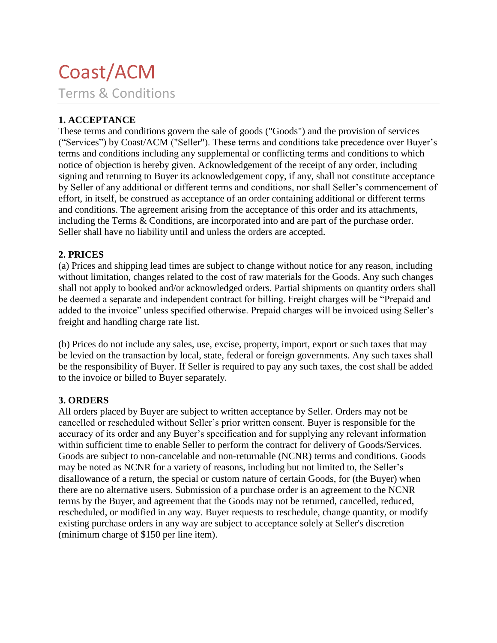# Coast/ACM Terms & Conditions

## **1. ACCEPTANCE**

These terms and conditions govern the sale of goods ("Goods") and the provision of services ("Services") by Coast/ACM ("Seller"). These terms and conditions take precedence over Buyer's terms and conditions including any supplemental or conflicting terms and conditions to which notice of objection is hereby given. Acknowledgement of the receipt of any order, including signing and returning to Buyer its acknowledgement copy, if any, shall not constitute acceptance by Seller of any additional or different terms and conditions, nor shall Seller's commencement of effort, in itself, be construed as acceptance of an order containing additional or different terms and conditions. The agreement arising from the acceptance of this order and its attachments, including the Terms & Conditions, are incorporated into and are part of the purchase order. Seller shall have no liability until and unless the orders are accepted.

## **2. PRICES**

(a) Prices and shipping lead times are subject to change without notice for any reason, including without limitation, changes related to the cost of raw materials for the Goods. Any such changes shall not apply to booked and/or acknowledged orders. Partial shipments on quantity orders shall be deemed a separate and independent contract for billing. Freight charges will be "Prepaid and added to the invoice" unless specified otherwise. Prepaid charges will be invoiced using Seller's freight and handling charge rate list.

(b) Prices do not include any sales, use, excise, property, import, export or such taxes that may be levied on the transaction by local, state, federal or foreign governments. Any such taxes shall be the responsibility of Buyer. If Seller is required to pay any such taxes, the cost shall be added to the invoice or billed to Buyer separately.

## **3. ORDERS**

All orders placed by Buyer are subject to written acceptance by Seller. Orders may not be cancelled or rescheduled without Seller's prior written consent. Buyer is responsible for the accuracy of its order and any Buyer's specification and for supplying any relevant information within sufficient time to enable Seller to perform the contract for delivery of Goods/Services. Goods are subject to non-cancelable and non-returnable (NCNR) terms and conditions. Goods may be noted as NCNR for a variety of reasons, including but not limited to, the Seller's disallowance of a return, the special or custom nature of certain Goods, for (the Buyer) when there are no alternative users. Submission of a purchase order is an agreement to the NCNR terms by the Buyer, and agreement that the Goods may not be returned, cancelled, reduced, rescheduled, or modified in any way. Buyer requests to reschedule, change quantity, or modify existing purchase orders in any way are subject to acceptance solely at Seller's discretion (minimum charge of \$150 per line item).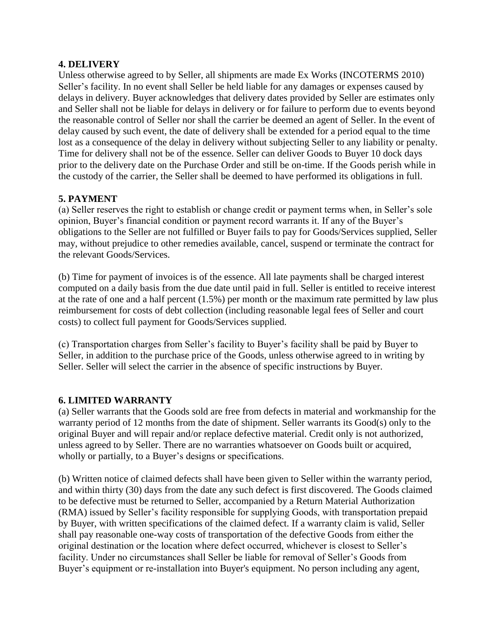#### **4. DELIVERY**

Unless otherwise agreed to by Seller, all shipments are made Ex Works (INCOTERMS 2010) Seller's facility. In no event shall Seller be held liable for any damages or expenses caused by delays in delivery. Buyer acknowledges that delivery dates provided by Seller are estimates only and Seller shall not be liable for delays in delivery or for failure to perform due to events beyond the reasonable control of Seller nor shall the carrier be deemed an agent of Seller. In the event of delay caused by such event, the date of delivery shall be extended for a period equal to the time lost as a consequence of the delay in delivery without subjecting Seller to any liability or penalty. Time for delivery shall not be of the essence. Seller can deliver Goods to Buyer 10 dock days prior to the delivery date on the Purchase Order and still be on-time. If the Goods perish while in the custody of the carrier, the Seller shall be deemed to have performed its obligations in full.

## **5. PAYMENT**

(a) Seller reserves the right to establish or change credit or payment terms when, in Seller's sole opinion, Buyer's financial condition or payment record warrants it. If any of the Buyer's obligations to the Seller are not fulfilled or Buyer fails to pay for Goods/Services supplied, Seller may, without prejudice to other remedies available, cancel, suspend or terminate the contract for the relevant Goods/Services.

(b) Time for payment of invoices is of the essence. All late payments shall be charged interest computed on a daily basis from the due date until paid in full. Seller is entitled to receive interest at the rate of one and a half percent (1.5%) per month or the maximum rate permitted by law plus reimbursement for costs of debt collection (including reasonable legal fees of Seller and court costs) to collect full payment for Goods/Services supplied.

(c) Transportation charges from Seller's facility to Buyer's facility shall be paid by Buyer to Seller, in addition to the purchase price of the Goods, unless otherwise agreed to in writing by Seller. Seller will select the carrier in the absence of specific instructions by Buyer.

## **6. LIMITED WARRANTY**

(a) Seller warrants that the Goods sold are free from defects in material and workmanship for the warranty period of 12 months from the date of shipment. Seller warrants its Good(s) only to the original Buyer and will repair and/or replace defective material. Credit only is not authorized, unless agreed to by Seller. There are no warranties whatsoever on Goods built or acquired, wholly or partially, to a Buyer's designs or specifications.

(b) Written notice of claimed defects shall have been given to Seller within the warranty period, and within thirty (30) days from the date any such defect is first discovered. The Goods claimed to be defective must be returned to Seller, accompanied by a Return Material Authorization (RMA) issued by Seller's facility responsible for supplying Goods, with transportation prepaid by Buyer, with written specifications of the claimed defect. If a warranty claim is valid, Seller shall pay reasonable one-way costs of transportation of the defective Goods from either the original destination or the location where defect occurred, whichever is closest to Seller's facility. Under no circumstances shall Seller be liable for removal of Seller's Goods from Buyer's equipment or re-installation into Buyer's equipment. No person including any agent,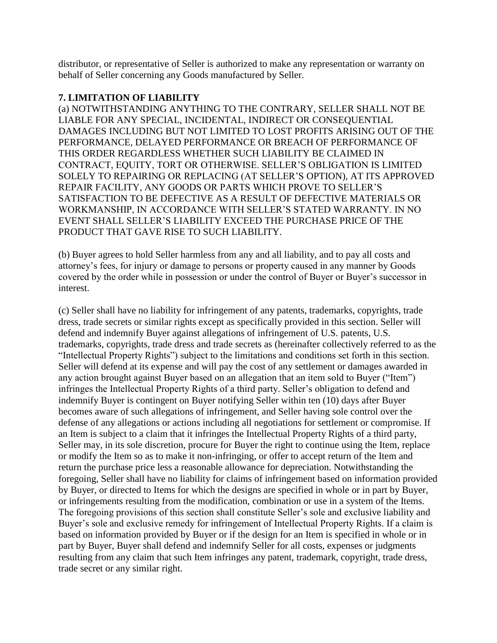distributor, or representative of Seller is authorized to make any representation or warranty on behalf of Seller concerning any Goods manufactured by Seller.

#### **7. LIMITATION OF LIABILITY**

(a) NOTWITHSTANDING ANYTHING TO THE CONTRARY, SELLER SHALL NOT BE LIABLE FOR ANY SPECIAL, INCIDENTAL, INDIRECT OR CONSEQUENTIAL DAMAGES INCLUDING BUT NOT LIMITED TO LOST PROFITS ARISING OUT OF THE PERFORMANCE, DELAYED PERFORMANCE OR BREACH OF PERFORMANCE OF THIS ORDER REGARDLESS WHETHER SUCH LIABILITY BE CLAIMED IN CONTRACT, EQUITY, TORT OR OTHERWISE. SELLER'S OBLIGATION IS LIMITED SOLELY TO REPAIRING OR REPLACING (AT SELLER'S OPTION), AT ITS APPROVED REPAIR FACILITY, ANY GOODS OR PARTS WHICH PROVE TO SELLER'S SATISFACTION TO BE DEFECTIVE AS A RESULT OF DEFECTIVE MATERIALS OR WORKMANSHIP, IN ACCORDANCE WITH SELLER'S STATED WARRANTY. IN NO EVENT SHALL SELLER'S LIABILITY EXCEED THE PURCHASE PRICE OF THE PRODUCT THAT GAVE RISE TO SUCH LIABILITY.

(b) Buyer agrees to hold Seller harmless from any and all liability, and to pay all costs and attorney's fees, for injury or damage to persons or property caused in any manner by Goods covered by the order while in possession or under the control of Buyer or Buyer's successor in interest.

(c) Seller shall have no liability for infringement of any patents, trademarks, copyrights, trade dress, trade secrets or similar rights except as specifically provided in this section. Seller will defend and indemnify Buyer against allegations of infringement of U.S. patents, U.S. trademarks, copyrights, trade dress and trade secrets as (hereinafter collectively referred to as the "Intellectual Property Rights") subject to the limitations and conditions set forth in this section. Seller will defend at its expense and will pay the cost of any settlement or damages awarded in any action brought against Buyer based on an allegation that an item sold to Buyer ("Item") infringes the Intellectual Property Rights of a third party. Seller's obligation to defend and indemnify Buyer is contingent on Buyer notifying Seller within ten (10) days after Buyer becomes aware of such allegations of infringement, and Seller having sole control over the defense of any allegations or actions including all negotiations for settlement or compromise. If an Item is subject to a claim that it infringes the Intellectual Property Rights of a third party, Seller may, in its sole discretion, procure for Buyer the right to continue using the Item, replace or modify the Item so as to make it non-infringing, or offer to accept return of the Item and return the purchase price less a reasonable allowance for depreciation. Notwithstanding the foregoing, Seller shall have no liability for claims of infringement based on information provided by Buyer, or directed to Items for which the designs are specified in whole or in part by Buyer, or infringements resulting from the modification, combination or use in a system of the Items. The foregoing provisions of this section shall constitute Seller's sole and exclusive liability and Buyer's sole and exclusive remedy for infringement of Intellectual Property Rights. If a claim is based on information provided by Buyer or if the design for an Item is specified in whole or in part by Buyer, Buyer shall defend and indemnify Seller for all costs, expenses or judgments resulting from any claim that such Item infringes any patent, trademark, copyright, trade dress, trade secret or any similar right.